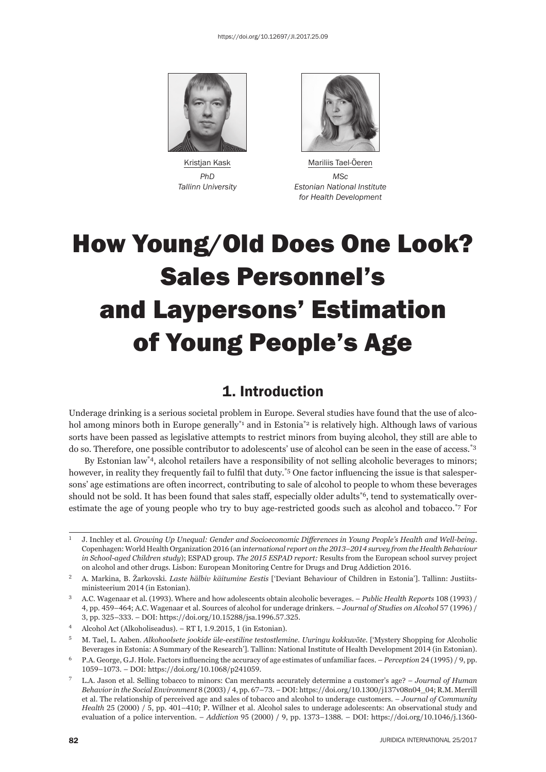

 *PhD MSc*



Kristjan Kask Mariliis Tael-Öeren  *Tallinn University Estonian National Institute for Health Development*

# How Young/Old Does One Look? Sales Personnel's and Laypersons' Estimation of Young People's Age

## 1. Introduction

Underage drinking is a serious societal problem in Europe. Several studies have found that the use of alcohol among minors both in Europe generally<sup>\*1</sup> and in Estonia<sup>\*2</sup> is relatively high. Although laws of various sorts have been passed as legislative attempts to restrict minors from buying alcohol, they still are able to do so. Therefore, one possible contributor to adolescents' use of alcohol can be seen in the ease of access.\*3

By Estonian law\*4, alcohol retailers have a responsibility of not selling alcoholic beverages to minors; however, in reality they frequently fail to fulfil that duty.<sup>\*5</sup> One factor influencing the issue is that salespersons' age estimations are often incorrect, contributing to sale of alcohol to people to whom these beverages should not be sold. It has been found that sales staff, especially older adults<sup>\*6</sup>, tend to systematically overestimate the age of young people who try to buy age-restricted goods such as alcohol and tobacco.\*7 For

<sup>ɲ</sup> J. Inchley et al. *Growing Up Unequal: Gender and Socioeconomic Diff erences in Young People's Health and Well-being*. Copenhagen: World Health Organization 2016 (an international report on the 2013-2014 survey from the Health Behaviour *in School-aged Children study*); ESPAD group. *The 2015 ESPAD report: Results from the European school survey project* on alcohol and other drugs. Lisbon: European Monitoring Centre for Drugs and Drug Addiction 2016.

ɳ A. Markina, B. Žarkovski. *Laste hälbiv käitumine Eestis* ['Deviant Behaviour of Children in Estonia']. Tallinn: Justiitsministeerium 2014 (in Estonian).

<sup>&</sup>lt;sup>3</sup> A.C. Wagenaar et al. (1993). Where and how adolescents obtain alcoholic beverages. – *Public Health Reports* 108 (1993) / 4, pp. 459–464; A.C. Wagenaar et al. Sources of alcohol for underage drinkers. – *Journal of Studies on Alcohol* 57 (1996) / 3, pp. 325-333. – DOI: https://doi.org/10.15288/jsa.1996.57.325.

 $4$  Alcohol Act (Alkoholiseadus). – RT I, 1.9.2015, 1 (in Estonian).

<sup>ɶ</sup> M. Tael, L. Aaben. *Alkohoolsete jookide üle-eestiline testostlemine. Uuringu kokkuvõte.* ['Mystery Shopping for Alcoholic Beverages in Estonia: A Summary of the Research']. Tallinn: National Institute of Health Development 2014 (in Estonian).

<sup>&</sup>lt;sup>6</sup> P.A. George, G.J. Hole. Factors influencing the accuracy of age estimates of unfamiliar faces. – *Perception* 24 (1995) / 9, pp. 1059-1073. – DOI: https://doi.org/10.1068/p241059.

<sup>ɸ</sup> L.A. Jason et al. Selling tobacco to minors: Can merchants accurately determine a customer's age? – *Journal of Human Behavior in the Social Environment* 8 (2003) / 4, pp. 67-73. – DOI: https://doi.org/10.1300/j137v08n04\_04; R.M. Merrill et al. The relationship of perceived age and sales of tobacco and alcohol to underage customers. – *Journal of Community Health* 25 (2000) / 5, pp. 401-410; P. Willner et al. Alcohol sales to underage adolescents: An observational study and evaluation of a police intervention. – *Addiction* 95 (2000) / 9, pp. 1373-1388. – DOI: https://doi.org/10.1046/j.1360-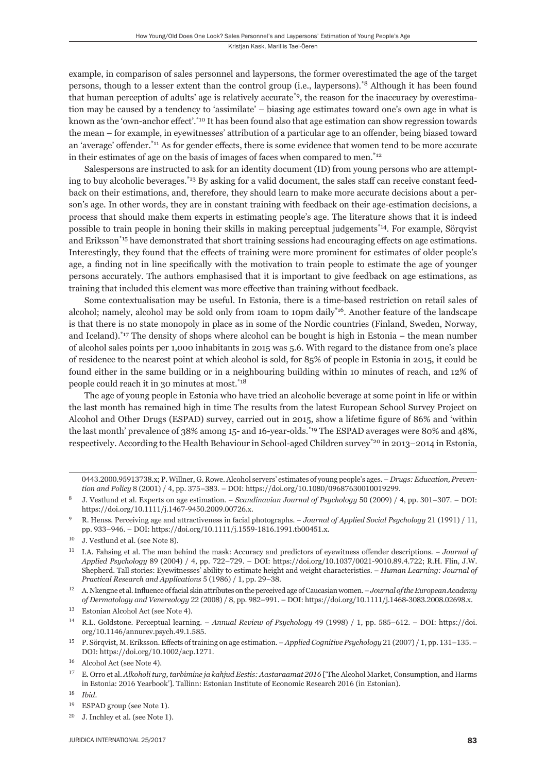example, in comparison of sales personnel and laypersons, the former overestimated the age of the target persons, though to a lesser extent than the control group (i.e., laypersons).\*8 Although it has been found that human perception of adults' age is relatively accurate\*9, the reason for the inaccuracy by overestimation may be caused by a tendency to 'assimilate' – biasing age estimates toward one's own age in what is known as the 'own-anchor effect'.<sup>\*10</sup> It has been found also that age estimation can show regression towards the mean – for example, in eyewitnesses' attribution of a particular age to an offender, being biased toward an 'average' offender.<sup>\*11</sup> As for gender effects, there is some evidence that women tend to be more accurate in their estimates of age on the basis of images of faces when compared to men.\*12

Salespersons are instructed to ask for an identity document (ID) from young persons who are attempting to buy alcoholic beverages.<sup>\*13</sup> By asking for a valid document, the sales staff can receive constant feedback on their estimations, and, therefore, they should learn to make more accurate decisions about a person's age. In other words, they are in constant training with feedback on their age-estimation decisions, a process that should make them experts in estimating people's age. The literature shows that it is indeed possible to train people in honing their skills in making perceptual judgements\*14. For example, Sörqvist and Eriksson<sup>\*15</sup> have demonstrated that short training sessions had encouraging effects on age estimations. Interestingly, they found that the effects of training were more prominent for estimates of older people's age, a finding not in line specifically with the motivation to train people to estimate the age of younger persons accurately. The authors emphasised that it is important to give feedback on age estimations, as training that included this element was more effective than training without feedback.

Some contextualisation may be useful. In Estonia, there is a time-based restriction on retail sales of alcohol; namely, alcohol may be sold only from 10am to 10pm daily\*<sup>16</sup>. Another feature of the landscape is that there is no state monopoly in place as in some of the Nordic countries (Finland, Sweden, Norway, and Iceland).\*17 The density of shops where alcohol can be bought is high in Estonia – the mean number of alcohol sales points per 1,000 inhabitants in 2015 was 5.6. With regard to the distance from one's place of residence to the nearest point at which alcohol is sold, for 85% of people in Estonia in 2015, it could be found either in the same building or in a neighbouring building within 10 minutes of reach, and 12% of people could reach it in 30 minutes at most.\*18

The age of young people in Estonia who have tried an alcoholic beverage at some point in life or within the last month has remained high in time The results from the latest European School Survey Project on Alcohol and Other Drugs (ESPAD) survey, carried out in 2015, show a lifetime figure of 86% and 'within the last month' prevalence of 38% among 15- and 16-year-olds.\*19 The ESPAD averages were 80% and 48%, respectively. According to the Health Behaviour in School-aged Children survey\*<sup>20</sup> in 2013–2014 in Estonia,

- <sup>14</sup> R.L. Goldstone. Perceptual learning. *Annual Review of Psychology* 49 (1998) / 1, pp. 585–612. DOI: https://doi. org/10.1146/annurev.psych.49.1.585.
- <sup>15</sup> P. Sörqvist, M. Eriksson. Effects of training on age estimation. *Applied Cognitive Psychology* 21 (2007) / 1, pp. 131–135. DOI: https://doi.org/10.1002/acp.1271.

ɱɵɵɴ.ɳɱɱɱ.ɺɶɺɲɴɸɴɹ.x; P. Willner, G. Rowe. Alcohol servers' estimates of young people's ages. – *Drugs: Education, Prevention and Policy* 8 (2001) / 4, pp. 375–383. – DOI: https://doi.org/10.1080/09687630010019299.

J. Vestlund et al. Experts on age estimation. – *Scandinavian Journal of Psychology* 50 (2009) / 4, pp. 301–307. – DOI: https://doi.org/10.1111/j.1467-9450.2009.00726.x.

R. Henss. Perceiving age and attractiveness in facial photographs. *– Journal of Applied Social Psychology* 21 (1991) / 11, pp. 933-946. – DOI: https://doi.org/10.1111/j.1559-1816.1991.tb00451.x.

 $10$  J. Vestlund et al. (see Note 8).

I.A. Fahsing et al. The man behind the mask: Accuracy and predictors of eyewitness offender descriptions. - *Journal of Applied Psychology* 89 (2004) / 4, pp. 722-729. - DOI: https://doi.org/10.1037/0021-9010.89.4.722; R.H. Flin, J.W. Shepherd. Tall stories: Eyewitnesses' ability to estimate height and weight characteristics. – *Human Learning: Journal of Practical Research and Applications* 5 (1986) / 1, pp. 29-38.

<sup>&</sup>lt;sup>12</sup> A. Nkengne et al. Influence of facial skin attributes on the perceived age of Caucasian women. – *Journal of the European Academy of Dermatology and Venereology* 22 (2008) / 8, pp. 982–991. – DOI: https://doi.org/10.1111/j.1468-3083.2008.02698.x.

<sup>&</sup>lt;sup>13</sup> Estonian Alcohol Act (see Note 4).

<sup>&</sup>lt;sup>16</sup> Alcohol Act (see Note 4).

<sup>&</sup>lt;sup>17</sup> E. Orro et al. *Alkoholi turg, tarbimine ja kahjud Eestis: Aastaraamat 2016* ['The Alcohol Market, Consumption, and Harms in Estonia: 2016 Yearbook']. Tallinn: Estonian Institute of Economic Research 2016 (in Estonian).

ɲɹ *Ibid*.

<sup>&</sup>lt;sup>19</sup> ESPAD group (see Note 1).

 $20$  J. Inchley et al. (see Note 1).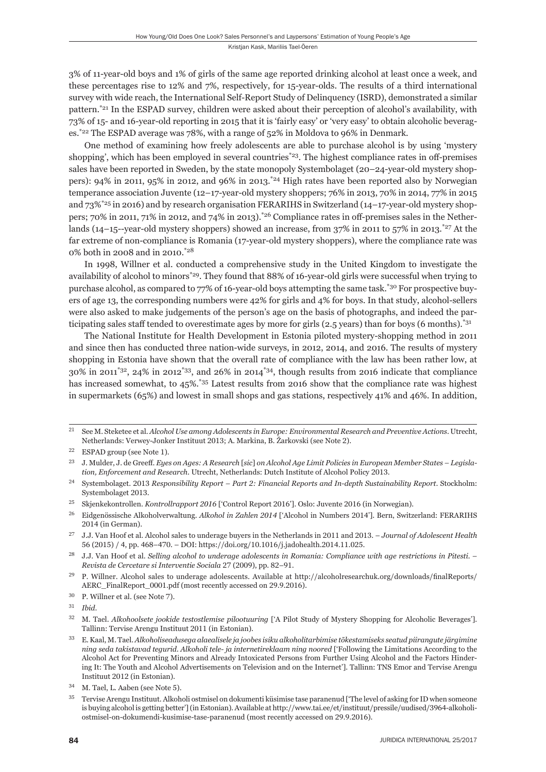3% of 11-year-old boys and 1% of girls of the same age reported drinking alcohol at least once a week, and these percentages rise to 12% and 7%, respectively, for 15-year-olds. The results of a third international survey with wide reach, the International Self-Report Study of Delinquency (ISRD), demonstrated a similar pattern.\*21 In the ESPAD survey, children were asked about their perception of alcohol's availability, with 73% of 15- and 16-year-old reporting in 2015 that it is 'fairly easy' or 'very easy' to obtain alcoholic beverages.\*22 The ESPAD average was 78%, with a range of 52% in Moldova to 96% in Denmark.

One method of examining how freely adolescents are able to purchase alcohol is by using 'mystery shopping', which has been employed in several countries<sup>\*23</sup>. The highest compliance rates in off-premises sales have been reported in Sweden, by the state monopoly Systembolaget (20–24-year-old mystery shoppers): 94% in 2011, 95% in 2012, and 96% in 2013.\*24 High rates have been reported also by Norwegian temperance association Juvente (12–17-year-old mystery shoppers; 76% in 2013, 70% in 2014, 77% in 2015 and 73%<sup>\*25</sup> in 2016) and by research organisation FERARIHS in Switzerland (14–17-year-old mystery shoppers; 70% in 2011, 71% in 2012, and 74% in 2013).<sup>\*26</sup> Compliance rates in off-premises sales in the Netherlands (14–15--year-old mystery shoppers) showed an increase, from  $37\%$  in 2011 to  $57\%$  in 2013.<sup>\*27</sup> At the far extreme of non-compliance is Romania (17-year-old mystery shoppers), where the compliance rate was 0% both in 2008 and in 2010.\*28

In 1998, Willner et al. conducted a comprehensive study in the United Kingdom to investigate the availability of alcohol to minors\*29. They found that 88% of 16-year-old girls were successful when trying to purchase alcohol, as compared to 77% of 16-year-old boys attempting the same task.\*30 For prospective buyers of age 13, the corresponding numbers were 42% for girls and 4% for boys. In that study, alcohol-sellers were also asked to make judgements of the person's age on the basis of photographs, and indeed the participating sales staff tended to overestimate ages by more for girls (2.5 years) than for boys (6 months).<sup>\*31</sup>

The National Institute for Health Development in Estonia piloted mystery-shopping method in 2011 and since then has conducted three nation-wide surveys, in 2012, 2014, and 2016. The results of mystery shopping in Estonia have shown that the overall rate of compliance with the law has been rather low, at 30% in 2011\*32, 24% in 2012\*33, and 26% in 2014\*34, though results from 2016 indicate that compliance has increased somewhat, to 45%<sup>\*35</sup> Latest results from 2016 show that the compliance rate was highest in supermarkets (65%) and lowest in small shops and gas stations, respectively 41% and 46%. In addition,

ɳɲ See M. Steketee et al. *Alcohol Use among Adolescents in Europe: Environmental Research and Preventive Actions*. Utrecht, Netherlands: Verwey-Jonker Instituut 2013; A. Markina, B. Žarkovski (see Note 2).

 $^{22}$   $\,$  ESPAD group (see Note 1).

ɳɴ J. Mulder, J. de Greeff . *Eyes on Ages: A Research* [*sic*] *on Alcohol Age Limit Policies in European Member States – Legislation, Enforcement and Research*. Utrecht, Netherlands: Dutch Institute of Alcohol Policy 2013.

<sup>&</sup>lt;sup>24</sup> Systembolaget. 2013 Responsibility Report – Part 2: Financial Reports and In-depth Sustainability Report. Stockholm: Systembolaget 2013.

<sup>&</sup>lt;sup>25</sup> Skjenkekontrollen. *Kontrollrapport 2016* ['Control Report 2016']. Oslo: Juvente 2016 (in Norwegian).

ɳɷ Eidgenössische Alkoholverwaltung. *Alkohol in Zahlen ɳɱɲɵ* ['Alcohol in Numbers ɳɱɲɵ']. Bern, Switzerland: FERARIHS 2014 (in German).

<sup>&</sup>lt;sup>27</sup> J.J. Van Hoof et al. Alcohol sales to underage buyers in the Netherlands in 2011 and 2013. – *Journal of Adolescent Health* 56 (2015) / 4, pp. 468-470. – DOI: https://doi.org/10.1016/j.jadohealth.2014.11.025.

ɳɹ J.J. Van Hoof et al. *Selling alcohol to underage adolescents in Romania: Compliance with age restrictions in Pitesti.* – *Revista de Cercetare si Interventie Sociala* 27 (2009), pp. 82-91.

<sup>&</sup>lt;sup>29</sup> P. Willner. Alcohol sales to underage adolescents. Available at http://alcoholresearchuk.org/downloads/finalReports/ AERC\_FinalReport\_0001.pdf (most recently accessed on 29.9.2016).

<sup>&</sup>lt;sup>30</sup> P. Willner et al. (see Note 7).

ɴɲ *Ibid*.

<sup>&</sup>lt;sup>32</sup> M. Tael. *Alkohoolsete jookide testostlemise pilootuuring* ['A Pilot Study of Mystery Shopping for Alcoholic Beverages']. Tallinn: Tervise Arengu Instituut 2011 (in Estonian).

ɴɴ E. Kaal, M. Tael. *Alkoholiseadusega alaealisele ja joobes isiku alkoholitarbimise tõkestamiseks seatud piirangute järgimine ning seda takistavad tegurid. Alkoholi tele- ja internetireklaam ning noored* ['Following the Limitations According to the Alcohol Act for Preventing Minors and Already Intoxicated Persons from Further Using Alcohol and the Factors Hindering It: The Youth and Alcohol Advertisements on Television and on the Internet']. Tallinn: TNS Emor and Tervise Arengu Instituut 2012 (in Estonian).

<sup>&</sup>lt;sup>34</sup> M. Tael, L. Aaben (see Note 5).

Tervise Arengu Instituut. Alkoholi ostmisel on dokumenti küsimise tase paranenud ['The level of asking for ID when someone is buying alcohol is getting better'] (in Estonian). Available at http://www.tai.ee/et/instituut/pressile/uudised/3964-alkoholiostmisel-on-dokumendi-kusimise-tase-paranenud (most recently accessed on 29.9.2016).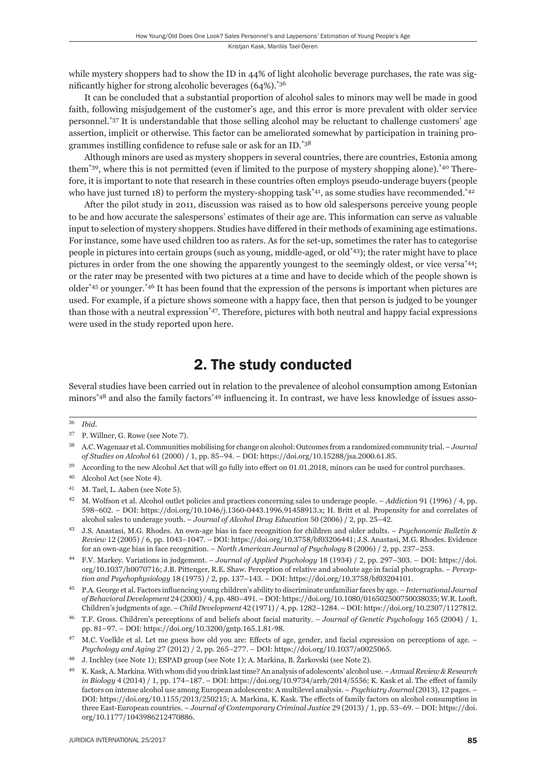while mystery shoppers had to show the ID in 44% of light alcoholic beverage purchases, the rate was sig-

nificantly higher for strong alcoholic beverages  $(64\%)$ .<sup>\*36</sup> It can be concluded that a substantial proportion of alcohol sales to minors may well be made in good faith, following misjudgement of the customer's age, and this error is more prevalent with older service personnel.\*37 It is understandable that those selling alcohol may be reluctant to challenge customers' age assertion, implicit or otherwise. This factor can be ameliorated somewhat by participation in training programmes instilling confidence to refuse sale or ask for an ID.\*38

Although minors are used as mystery shoppers in several countries, there are countries, Estonia among them<sup>\*39</sup>, where this is not permitted (even if limited to the purpose of mystery shopping alone).<sup>\*40</sup> Therefore, it is important to note that research in these countries often employs pseudo-underage buyers (people who have just turned 18) to perform the mystery-shopping task<sup>\*41</sup>, as some studies have recommended.<sup>\*42</sup>

After the pilot study in 2011, discussion was raised as to how old salespersons perceive young people to be and how accurate the salespersons' estimates of their age are. This information can serve as valuable input to selection of mystery shoppers. Studies have differed in their methods of examining age estimations. For instance, some have used children too as raters. As for the set-up, sometimes the rater has to categorise people in pictures into certain groups (such as young, middle-aged, or old\*43); the rater might have to place pictures in order from the one showing the apparently youngest to the seemingly oldest, or vice versa\*44; or the rater may be presented with two pictures at a time and have to decide which of the people shown is older\*45 or younger.\*46 It has been found that the expression of the persons is important when pictures are used. For example, if a picture shows someone with a happy face, then that person is judged to be younger than those with a neutral expression<sup>\*47</sup>. Therefore, pictures with both neutral and happy facial expressions were used in the study reported upon here.

## 2. The study conducted

Several studies have been carried out in relation to the prevalence of alcohol consumption among Estonian minors<sup>\*48</sup> and also the family factors<sup>\*49</sup> influencing it. In contrast, we have less knowledge of issues asso-

 $39$  According to the new Alcohol Act that will go fully into effect on 01.01.2018, minors can be used for control purchases.

- ɵɴ J.S. Anastasi, M.G. Rhodes. An own-age bias in face recognition for children and older adults. *Psychonomic Bulletin & Review* 12 (2005) / 6, pp. 1043-1047. – DOI: https://doi.org/10.3758/bf03206441; J.S. Anastasi, M.G. Rhodes. Evidence for an own-age bias in face recognition. – *North American Journal of Psychology* 8 (2006) / 2, pp. 237–253.
- <sup>44</sup> F.V. Markey. Variations in judgement. *Journal of Applied Psychology* 18 (1934) / 2, pp. 297-303. DOI: https://doi. org/10.1037/h0070716; J.B. Pittenger, R.E. Shaw. Perception of relative and absolute age in facial photographs. - Percep*tion and Psychophysiology* 18 (1975) / 2, pp. 137-143. – DOI: https://doi.org/10.3758/bf03204101.
- ɵɶ P.A. George et al. Factors infl uencing young children's ability to discriminate unfamiliar faces by age. *International Journal of Behavioral Development* 24 (2000) / 4, pp. 480-491. – DOI: https://doi.org/10.1080/016502500750038035; W.R. Looft. Children's judgments of age. – *Child Development* 42 (1971) / 4, pp. 1282–1284. – DOI: https://doi.org/10.2307/1127812.
- T.F. Gross. Children's perceptions of and beliefs about facial maturity. *Journal of Genetic Psychology* 165 (2004) / 1, pp. 81-97. – DOI: https://doi.org/10.3200/gntp.165.1.81-98.
- <sup>47</sup> M.C. Voelkle et al. Let me guess how old you are: Effects of age, gender, and facial expression on perceptions of age. *Psychology and Aging* 27 (2012) / 2, pp. 265-277. - DOI: https://doi.org/10.1037/a0025065.
- <sup>48</sup> J. Inchley (see Note 1); ESPAD group (see Note 1); A. Markina, B. Žarkovski (see Note 2).
- ɵɺ K. Kask, A. Markina. With whom did you drink last time? An analysis of adolescents' alcohol use. *Annual Review & Research in Biology* 4 (2014) / 1, pp. 174–187. – DOI: https://doi.org/10.9734/arrb/2014/5556; K. Kask et al. The effect of family factors on intense alcohol use among European adolescents: A multilevel analysis. – *Psychiatry Journal* (2013), 12 pages. – DOI: https://doi.org/10.1155/2013/250215; A. Markina, K. Kask. The effects of family factors on alcohol consumption in three East-European countries. – *Journal of Contemporary Criminal Justice* 29 (2013) / 1, pp. 53–69. – DOI: https://doi. org/10.1177/1043986212470886.

ɴɷ *Ibid*.

<sup>&</sup>lt;sup>37</sup> P. Willner, G. Rowe (see Note 7).

ɴɹ A.C. Wagenaar et al. Communities mobilising for change on alcohol: Outcomes from a randomized community trial. – *Journal of Studies on Alcohol 61 (2000)* / 1, pp. 85-94. - DOI: https://doi.org/10.15288/jsa.2000.61.85.

<sup>&</sup>lt;sup>40</sup> Alcohol Act (see Note 4).

<sup>&</sup>lt;sup>41</sup> M. Tael, L. Aaben (see Note 5).

M. Wolfson et al. Alcohol outlet policies and practices concerning sales to underage people. – *Addiction* 91 (1996) / 4, pp. 598–602. – DOI: https://doi.org/10.1046/j.1360-0443.1996.91458913.x; H. Britt et al. Propensity for and correlates of alcohol sales to underage youth. – *Journal of Alcohol Drug Education* 50 (2006) / 2, pp. 25–42.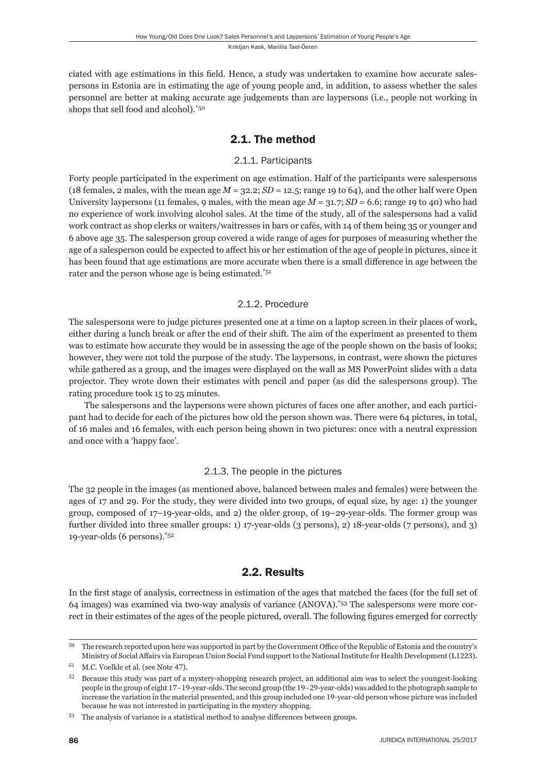ciated with age estimations in this field. Hence, a study was undertaken to examine how accurate salespersons in Estonia are in estimating the age of young people and, in addition, to assess whether the sales personnel are better at making accurate age judgements than are laypersons (i.e., people not working in shops that sell food and alcohol).\*50

### 2.1. The method

#### 2.1.1. Participants

Forty people participated in the experiment on age estimation. Half of the participants were salespersons (18 females, 2 males, with the mean age  $M = 32.2$ ;  $SD = 12.5$ ; range 19 to 64), and the other half were Open University laypersons (11 females, 9 males, with the mean age  $M = 31.7$ ;  $SD = 6.6$ ; range 19 to 40) who had no experience of work involving alcohol sales. At the time of the study, all of the salespersons had a valid work contract as shop clerks or waiters/waitresses in bars or cafés, with 14 of them being 35 or younger and 6 above age 35. The salesperson group covered a wide range of ages for purposes of measuring whether the age of a salesperson could be expected to affect his or her estimation of the age of people in pictures, since it has been found that age estimations are more accurate when there is a small difference in age between the rater and the person whose age is being estimated.\*51

#### 2.1.2. Procedure

The salespersons were to judge pictures presented one at a time on a laptop screen in their places of work, either during a lunch break or after the end of their shift. The aim of the experiment as presented to them was to estimate how accurate they would be in assessing the age of the people shown on the basis of looks; however, they were not told the purpose of the study. The laypersons, in contrast, were shown the pictures while gathered as a group, and the images were displayed on the wall as MS PowerPoint slides with a data projector. They wrote down their estimates with pencil and paper (as did the salespersons group). The rating procedure took 15 to 25 minutes.

The salespersons and the laypersons were shown pictures of faces one after another, and each participant had to decide for each of the pictures how old the person shown was. There were 64 pictures, in total, of 16 males and 16 females, with each person being shown in two pictures: once with a neutral expression and once with a 'happy face'.

#### 2.1.3. The people in the pictures

The 32 people in the images (as mentioned above, balanced between males and females) were between the ages of 17 and 29. For the study, they were divided into two groups, of equal size, by age: 1) the younger group, composed of 17–19-year-olds, and 2) the older group, of 19–29-year-olds. The former group was further divided into three smaller groups: 1) 17-year-olds (3 persons), 2) 18-year-olds (7 persons), and 3) 19-year-olds (6 persons).\*52

#### 2.2. Results

In the first stage of analysis, correctness in estimation of the ages that matched the faces (for the full set of 64 images) was examined via two-way analysis of variance (ANOVA).\*53 The salespersons were more correct in their estimates of the ages of the people pictured, overall. The following figures emerged for correctly

<sup>&</sup>lt;sup>50</sup> The research reported upon here was supported in part by the Government Office of the Republic of Estonia and the country's Ministry of Social Affairs via European Union Social Fund support to the National Institute for Health Development (L1223).

<sup>&</sup>lt;sup>51</sup> M.C. Voelkle et al. (see Note 47).

 $52$  Because this study was part of a mystery-shopping research project, an additional aim was to select the youngest-looking people in the group of eight 17–19-year-olds. The second group (the 19–29-year-olds) was added to the photograph sample to increase the variation in the material presented, and this group included one 19-year-old person whose picture was included because he was not interested in participating in the mystery shopping.

<sup>&</sup>lt;sup>53</sup> The analysis of variance is a statistical method to analyse differences between groups.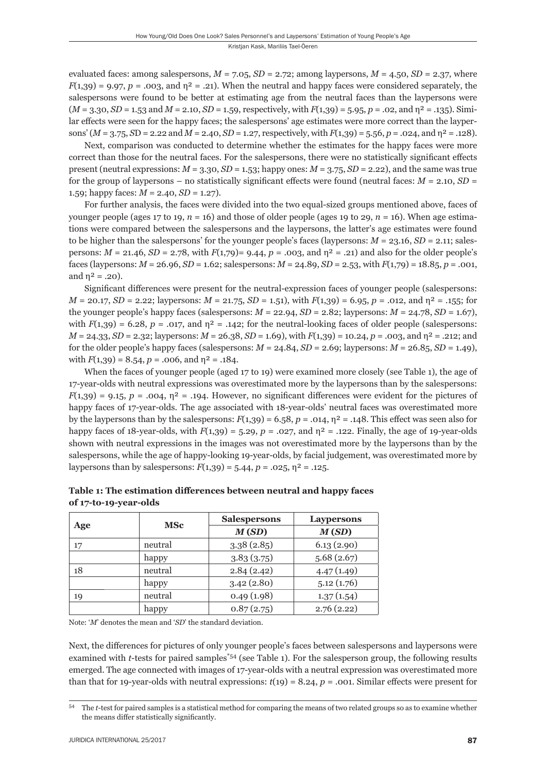evaluated faces: among salespersons,  $M = 7.05$ ,  $SD = 2.72$ ; among laypersons,  $M = 4.50$ ,  $SD = 2.37$ , where  $F(1,39) = 9.97, p = .003,$  and  $p^2 = .21$ ). When the neutral and happy faces were considered separately, the salespersons were found to be better at estimating age from the neutral faces than the laypersons were (*M* = 3.30, *SD* = 1.53 and *M* = 2.10, *SD* = 1.59, respectively, with *F*(1,39) = 5.95, *p* = .02, and η² = .135). Similar effects were seen for the happy faces; the salespersons' age estimates were more correct than the laypersons' (*M* = 3.75, *S*D = 2.22 and *M* = 2.40, *SD* = 1.27, respectively, with *F*(1,39) = 5.56, *p* = .024, and η² = .128).

Next, comparison was conducted to determine whether the estimates for the happy faces were more correct than those for the neutral faces. For the salespersons, there were no statistically significant effects present (neutral expressions:  $M = 3.30$ ,  $SD = 1.53$ ; happy ones:  $M = 3.75$ ,  $SD = 2.22$ ), and the same was true for the group of laypersons – no statistically significant effects were found (neutral faces:  $M = 2.10$ ,  $SD =$ 1.59; happy faces:  $M = 2.40$ ,  $SD = 1.27$ .

For further analysis, the faces were divided into the two equal-sized groups mentioned above, faces of younger people (ages 17 to 19,  $n = 16$ ) and those of older people (ages 19 to 29,  $n = 16$ ). When age estimations were compared between the salespersons and the laypersons, the latter's age estimates were found to be higher than the salespersons' for the younger people's faces (laypersons:  $M = 23.16$ ,  $SD = 2.11$ ; salespersons:  $M = 21.46$ ,  $SD = 2.78$ , with  $F(1,79) = 9.44$ ,  $p = .003$ , and  $\eta^2 = .21$ ) and also for the older people's faces (laypersons: *M* = 26.96, *SD* = 1.62; salespersons: *M* = 24.89, *SD* = 2.53, with *F*(1,79) = 18.85, *p* = .001, and  $\eta^2 = .20$ ).

Significant differences were present for the neutral-expression faces of younger people (salespersons:  $M = 20.17$ ,  $SD = 2.22$ ; laypersons:  $M = 21.75$ ,  $SD = 1.51$ ), with  $F(1,39) = 6.95$ ,  $p = .012$ , and  $\eta^2 = .155$ ; for the younger people's happy faces (salespersons:  $M = 22.94$ ,  $SD = 2.82$ ; laypersons:  $M = 24.78$ ,  $SD = 1.67$ ), with  $F(1,39) = 6.28$ ,  $p = .017$ , and  $p^2 = .142$ ; for the neutral-looking faces of older people (salespersons: *M* = 24.33, *SD* = 2.32; laypersons: *M* = 26.38, *SD* = 1.69), with *F*(1,39) = 10.24, *p* = .003, and η² = .212; and for the older people's happy faces (salespersons:  $M = 24.84$ ,  $SD = 2.69$ ; laypersons:  $M = 26.85$ ,  $SD = 1.49$ ), with  $F(1,39) = 8.54$ ,  $p = .006$ , and  $n^2 = .184$ .

When the faces of younger people (aged 17 to 19) were examined more closely (see Table 1), the age of 17-year-olds with neutral expressions was overestimated more by the laypersons than by the salespersons:  $F(1,39) = 9.15$ ,  $p = .004$ ,  $p^2 = .194$ . However, no significant differences were evident for the pictures of happy faces of 17-year-olds. The age associated with 18-year-olds' neutral faces was overestimated more by the laypersons than by the salespersons:  $F(1,39) = 6.58$ ,  $p = .014$ ,  $n^2 = .148$ . This effect was seen also for happy faces of 18-year-olds, with  $F(1,39) = 5.29$ ,  $p = 0.027$ , and  $\eta^2 = 0.122$ . Finally, the age of 19-year-olds shown with neutral expressions in the images was not overestimated more by the laypersons than by the salespersons, while the age of happy-looking 19-year-olds, by facial judgement, was overestimated more by lay persons than by sales persons:  $F(1,39) = 5.44$ ,  $p = .025$ ,  $n^2 = .125$ .

|     | <b>MSc</b> | <b>Salespersons</b> | Laypersons |  |
|-----|------------|---------------------|------------|--|
| Age |            | M(SD)               | M(SD)      |  |
| 17  | neutral    | 3.38(2.85)          | 6.13(2.90) |  |
|     | happy      | 3.83(3.75)          | 5.68(2.67) |  |
| 18  | neutral    | 2.84(2.42)          | 4.47(1.49) |  |
|     | happy      | 3.42(2.80)          | 5.12(1.76) |  |
| 19  | neutral    | 0.49(1.98)          | 1.37(1.54) |  |
|     | happy      | 0.87(2.75)          | 2.76(2.22) |  |

**Table 1: The estimation diff erences between neutral and happy faces of 17-to-19-year-olds**

Note: '*M*' denotes the mean and '*SD*' the standard deviation.

Next, the differences for pictures of only younger people's faces between salespersons and laypersons were examined with *t*-tests for paired samples<sup>\*54</sup> (see Table 1). For the salesperson group, the following results emerged. The age connected with images of 17-year-olds with a neutral expression was overestimated more than that for 19-year-olds with neutral expressions:  $t(19) = 8.24$ ,  $p = .001$ . Similar effects were present for

<sup>&</sup>lt;sup>54</sup> The *t*-test for paired samples is a statistical method for comparing the means of two related groups so as to examine whether the means differ statistically significantly.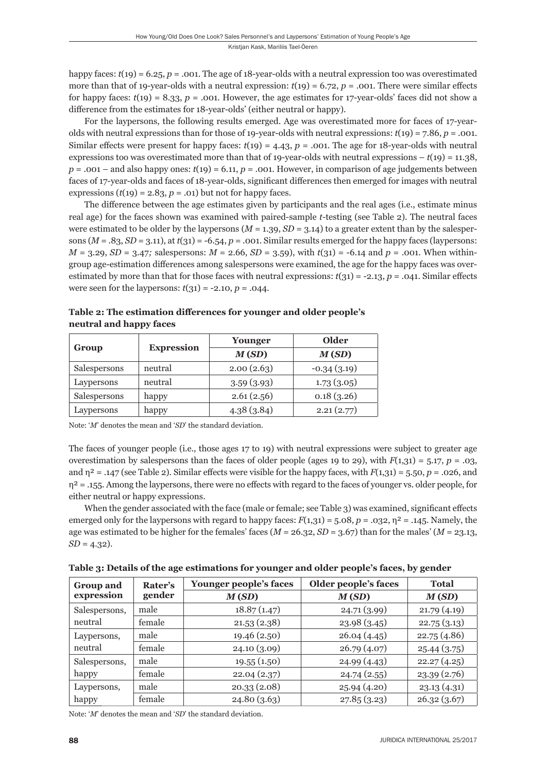happy faces: *t*(19) = 6.25, *p* = .001. The age of 18-year-olds with a neutral expression too was overestimated more than that of 19-year-olds with a neutral expression:  $t(19) = 6.72$ ,  $p = .001$ . There were similar effects for happy faces:  $t(19) = 8.33$ ,  $p = .001$ . However, the age estimates for 17-year-olds' faces did not show a difference from the estimates for 18-year-olds' (either neutral or happy).

For the laypersons, the following results emerged. Age was overestimated more for faces of 17-yearolds with neutral expressions than for those of 19-year-olds with neutral expressions: *t*(19) = 7.86, *p* = .001. Similar effects were present for happy faces:  $t(19) = 4.43$ ,  $p = .001$ . The age for 18-year-olds with neutral expressions too was overestimated more than that of 19-year-olds with neutral expressions  $- t(19) = 11.38$ ,  $p = .001$  – and also happy ones:  $t(19) = 6.11$ ,  $p = .001$ . However, in comparison of age judgements between faces of 17-year-olds and faces of 18-year-olds, significant differences then emerged for images with neutral expressions  $(t(19) = 2.83, p = .01)$  but not for happy faces.

The difference between the age estimates given by participants and the real ages (i.e., estimate minus real age) for the faces shown was examined with paired-sample *t*-testing (see Table 2). The neutral faces were estimated to be older by the laypersons  $(M = 1.39, SD = 3.14)$  to a greater extent than by the salespersons  $(M = .83, SD = 3.11)$ , at  $t(31) = -6.54$ ,  $p = .001$ . Similar results emerged for the happy faces (laypersons:  $M = 3.29, SD = 3.47$ ; salespersons:  $M = 2.66, SD = 3.59$ ), with  $t(31) = -6.14$  and  $p = .001$ . When withingroup age-estimation differences among salespersons were examined, the age for the happy faces was overestimated by more than that for those faces with neutral expressions:  $t(31) = -2.13$ ,  $p = .041$ . Similar effects were seen for the laypersons:  $t(31) = -2.10, p = .044$ .

|              | <b>Expression</b> | Younger    | Older         |  |
|--------------|-------------------|------------|---------------|--|
| Group        |                   | M(SD)      | M(SD)         |  |
| Salespersons | neutral           | 2.00(2.63) | $-0.34(3.19)$ |  |
| Laypersons   | neutral           | 3.59(3.93) | 1.73(3.05)    |  |
| Salespersons | happy             | 2.61(2.56) | 0.18(3.26)    |  |
| Laypersons   | happy             | 4.38(3.84) | 2.21(2.77)    |  |

Table 2: The estimation differences for younger and older people's **neutral and happy faces**

Note: '*M*' denotes the mean and '*SD*' the standard deviation.

The faces of younger people (i.e., those ages 17 to 19) with neutral expressions were subject to greater age overestimation by salespersons than the faces of older people (ages 19 to 29), with  $F(1,31) = 5.17$ ,  $p = .03$ , and  $\eta^2 = .147$  (see Table 2). Similar effects were visible for the happy faces, with  $F(1,31) = 5.50$ ,  $p = .026$ , and  $\eta^2$  = .155. Among the laypersons, there were no effects with regard to the faces of younger vs. older people, for either neutral or happy expressions.

When the gender associated with the face (male or female; see Table 3) was examined, significant effects emerged only for the laypersons with regard to happy faces:  $F(1,31) = 5.08$ ,  $p = .032$ ,  $p^2 = .145$ . Namely, the age was estimated to be higher for the females' faces (*M* = 26.32, *SD* = 3.67) than for the males' (*M* = 23.13, *SD* = 4.32).

| <b>Group and</b>         | Rater's<br>gender | Younger people's faces | Older people's faces | <b>Total</b> |
|--------------------------|-------------------|------------------------|----------------------|--------------|
| expression               |                   | M(SD)                  | M(SD)                | M(SD)        |
| Salespersons,<br>neutral | male              | 18.87(1.47)            | 24.71(3.99)          | 21.79(4.19)  |
|                          | female            | 21.53(2.38)            | 23.98(3.45)          | 22.75(3.13)  |
| Laypersons,<br>neutral   | male              | 19.46 (2.50)           | 26.04(4.45)          | 22.75(4.86)  |
|                          | female            | 24.10(3.09)            | 26.79(4.07)          | 25.44(3.75)  |
| Salespersons,<br>happy   | male              | 19.55(1.50)            | 24.99(4.43)          | 22.27(4.25)  |
|                          | female            | 22.04(2.37)            | 24.74(2.55)          | 23.39(2.76)  |
| Laypersons,<br>happy     | male              | 20.33(2.08)            | 25.94 (4.20)         | 23.13(4.31)  |
|                          | female            | 24.80(3.63)            | 27.85(3.23)          | 26.32(3.67)  |

**Table 3: Details of the age estimations for younger and older people's faces, by gender**

Note: '*M*' denotes the mean and '*SD*' the standard deviation.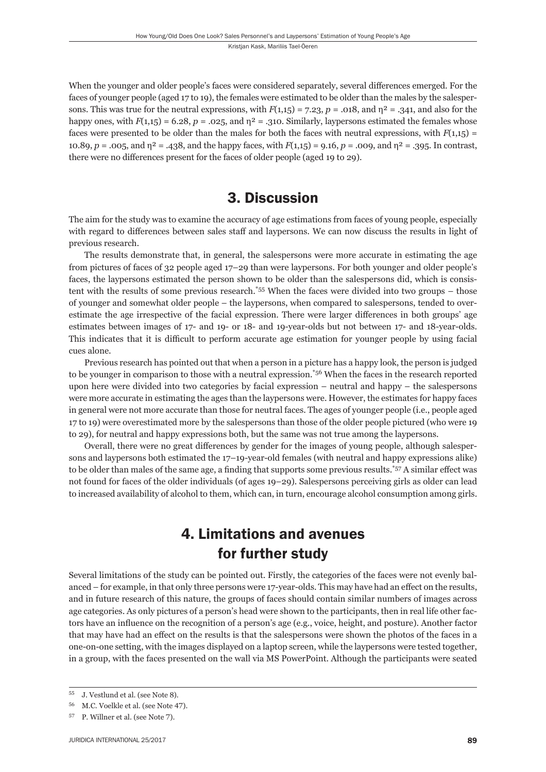When the younger and older people's faces were considered separately, several differences emerged. For the faces of younger people (aged 17 to 19), the females were estimated to be older than the males by the salespersons. This was true for the neutral expressions, with  $F(1,15) = 7.23$ ,  $p = .018$ , and  $\eta^2 = .341$ , and also for the happy ones, with  $F(1,1,5) = 6.28$ ,  $p = .025$ , and  $n^2 = .310$ . Similarly, laypersons estimated the females whose faces were presented to be older than the males for both the faces with neutral expressions, with  $F(1,1,5)$  = 10.89, *p* = .005, and η² = .438, and the happy faces, with *F*(1,15) = 9.16, *p* = .009, and η² = .395. In contrast, there were no differences present for the faces of older people (aged 19 to 29).

## 3. Discussion

The aim for the study was to examine the accuracy of age estimations from faces of young people, especially with regard to differences between sales staff and laypersons. We can now discuss the results in light of previous research.

The results demonstrate that, in general, the salespersons were more accurate in estimating the age from pictures of faces of 32 people aged 17–29 than were laypersons. For both younger and older people's faces, the laypersons estimated the person shown to be older than the salespersons did, which is consistent with the results of some previous research.\*55 When the faces were divided into two groups – those of younger and somewhat older people – the laypersons, when compared to salespersons, tended to overestimate the age irrespective of the facial expression. There were larger differences in both groups' age estimates between images of 17- and 19- or 18- and 19-year-olds but not between 17- and 18-year-olds. This indicates that it is difficult to perform accurate age estimation for younger people by using facial cues alone.

Previous research has pointed out that when a person in a picture has a happy look, the person is judged to be younger in comparison to those with a neutral expression.<sup>\*56</sup> When the faces in the research reported upon here were divided into two categories by facial expression – neutral and happy – the salespersons were more accurate in estimating the ages than the laypersons were. However, the estimates for happy faces in general were not more accurate than those for neutral faces. The ages of younger people (i.e., people aged 17 to 19) were overestimated more by the salespersons than those of the older people pictured (who were 19 to 29), for neutral and happy expressions both, but the same was not true among the laypersons.

Overall, there were no great differences by gender for the images of young people, although salespersons and laypersons both estimated the 17–19-year-old females (with neutral and happy expressions alike) to be older than males of the same age, a finding that supports some previous results.<sup>\*57</sup> A similar effect was not found for faces of the older individuals (of ages 19–29). Salespersons perceiving girls as older can lead to increased availability of alcohol to them, which can, in turn, encourage alcohol consumption among girls.

## 4. Limitations and avenues for further study

Several limitations of the study can be pointed out. Firstly, the categories of the faces were not evenly balanced – for example, in that only three persons were 17-year-olds. This may have had an effect on the results, and in future research of this nature, the groups of faces should contain similar numbers of images across age categories. As only pictures of a person's head were shown to the participants, then in real life other factors have an influence on the recognition of a person's age (e.g., voice, height, and posture). Another factor that may have had an effect on the results is that the salespersons were shown the photos of the faces in a one-on-one setting, with the images displayed on a laptop screen, while the laypersons were tested together, in a group, with the faces presented on the wall via MS Power Point. Although the participants were seated

<sup>&</sup>lt;sup>55</sup> J. Vestlund et al. (see Note 8).

M.C. Voelkle et al. (see Note 47).

<sup>&</sup>lt;sup>57</sup> P. Willner et al. (see Note 7).